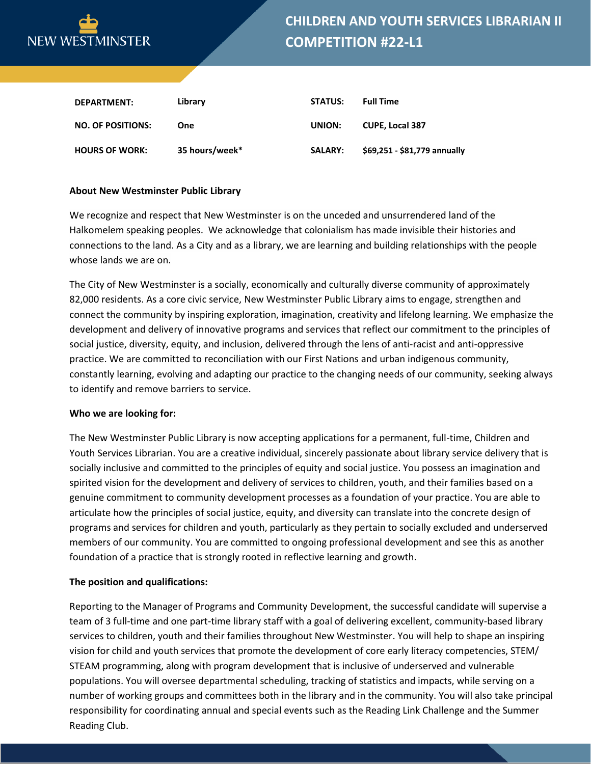

| DEPARTMENT:              | Library        | <b>STATUS:</b> | <b>Full Time</b>             |
|--------------------------|----------------|----------------|------------------------------|
| <b>NO. OF POSITIONS:</b> | One            | UNION:         | <b>CUPE. Local 387</b>       |
| <b>HOURS OF WORK:</b>    | 35 hours/week* | <b>SALARY:</b> | \$69,251 - \$81,779 annually |

### **About New Westminster Public Library**

We recognize and respect that New Westminster is on the unceded and unsurrendered land of the Halkomelem speaking peoples. We acknowledge that colonialism has made invisible their histories and connections to the land. As a City and as a library, we are learning and building relationships with the people whose lands we are on.

The City of New Westminster is a socially, economically and culturally diverse community of approximately 82,000 residents. As a core civic service, New Westminster Public Library aims to engage, strengthen and connect the community by inspiring exploration, imagination, creativity and lifelong learning. We emphasize the development and delivery of innovative programs and services that reflect our commitment to the principles of social justice, diversity, equity, and inclusion, delivered through the lens of anti-racist and anti-oppressive practice. We are committed to reconciliation with our First Nations and urban indigenous community, constantly learning, evolving and adapting our practice to the changing needs of our community, seeking always to identify and remove barriers to service.

#### **Who we are looking for:**

The New Westminster Public Library is now accepting applications for a permanent, full-time, Children and Youth Services Librarian. You are a creative individual, sincerely passionate about library service delivery that is socially inclusive and committed to the principles of equity and social justice. You possess an imagination and spirited vision for the development and delivery of services to children, youth, and their families based on a genuine commitment to community development processes as a foundation of your practice. You are able to articulate how the principles of social justice, equity, and diversity can translate into the concrete design of programs and services for children and youth, particularly as they pertain to socially excluded and underserved members of our community. You are committed to ongoing professional development and see this as another foundation of a practice that is strongly rooted in reflective learning and growth.

#### **The position and qualifications:**

Reporting to the Manager of Programs and Community Development, the successful candidate will supervise a team of 3 full-time and one part-time library staff with a goal of delivering excellent, community-based library services to children, youth and their families throughout New Westminster. You will help to shape an inspiring vision for child and youth services that promote the development of core early literacy competencies, STEM/ STEAM programming, along with program development that is inclusive of underserved and vulnerable populations. You will oversee departmental scheduling, tracking of statistics and impacts, while serving on a number of working groups and committees both in the library and in the community. You will also take principal responsibility for coordinating annual and special events such as the Reading Link Challenge and the Summer Reading Club.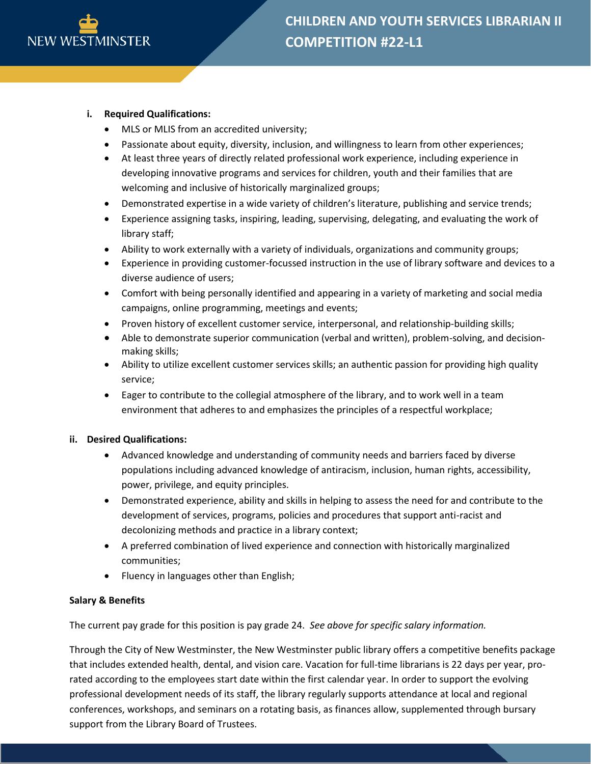

# **i. Required Qualifications:**

- MLS or MLIS from an accredited university;
- Passionate about equity, diversity, inclusion, and willingness to learn from other experiences;
- At least three years of directly related professional work experience, including experience in developing innovative programs and services for children, youth and their families that are welcoming and inclusive of historically marginalized groups;
- Demonstrated expertise in a wide variety of children's literature, publishing and service trends;
- Experience assigning tasks, inspiring, leading, supervising, delegating, and evaluating the work of library staff;
- Ability to work externally with a variety of individuals, organizations and community groups;
- Experience in providing customer-focussed instruction in the use of library software and devices to a diverse audience of users;
- Comfort with being personally identified and appearing in a variety of marketing and social media campaigns, online programming, meetings and events;
- Proven history of excellent customer service, interpersonal, and relationship-building skills;
- Able to demonstrate superior communication (verbal and written), problem-solving, and decisionmaking skills;
- Ability to utilize excellent customer services skills; an authentic passion for providing high quality service;
- Eager to contribute to the collegial atmosphere of the library, and to work well in a team environment that adheres to and emphasizes the principles of a respectful workplace;

## **ii. Desired Qualifications:**

- Advanced knowledge and understanding of community needs and barriers faced by diverse populations including advanced knowledge of antiracism, inclusion, human rights, accessibility, power, privilege, and equity principles.
- Demonstrated experience, ability and skills in helping to assess the need for and contribute to the development of services, programs, policies and procedures that support anti-racist and decolonizing methods and practice in a library context;
- A preferred combination of lived experience and connection with historically marginalized communities;
- Fluency in languages other than English;

## **Salary & Benefits**

The current pay grade for this position is pay grade 24. *See above for specific salary information.*

Through the City of New Westminster, the New Westminster public library offers a competitive benefits package that includes extended health, dental, and vision care. Vacation for full-time librarians is 22 days per year, prorated according to the employees start date within the first calendar year. In order to support the evolving professional development needs of its staff, the library regularly supports attendance at local and regional conferences, workshops, and seminars on a rotating basis, as finances allow, supplemented through bursary support from the Library Board of Trustees.